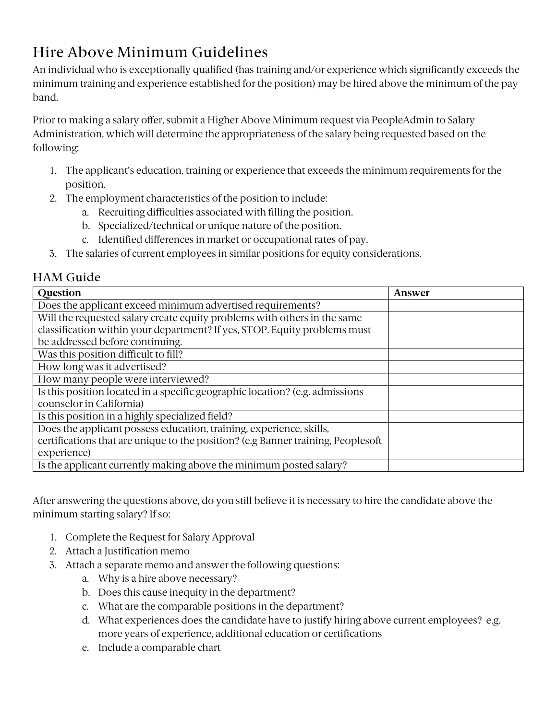## Hire Above Minimum Guidelines

An individual who is exceptionally qualified (has training and/or experience which significantly exceeds the minimum training and experience established for the position) may be hired above the minimum of the pay band.

Prior to making a salary offer, submit a Higher Above Minimum request via PeopleAdmin to Salary Administration, which will determine the appropriateness of the salary being requested based on the following:

- 1. The applicant's education, training or experience that exceeds the minimum requirements for the position.
- 2. The employment characteristics of the position to include:
	- a. Recruiting difficulties associated with filling the position.
	- b. Specialized/technical or unique nature of the position.
	- c. Identified differences in market or occupational rates of pay.
- 3. The salaries of current employees in similar positions for equity considerations.

## HAM Guide

| Question                                                                         | Answer |
|----------------------------------------------------------------------------------|--------|
| Does the applicant exceed minimum advertised requirements?                       |        |
| Will the requested salary create equity problems with others in the same         |        |
| classification within your department? If yes, STOP. Equity problems must        |        |
| be addressed before continuing.                                                  |        |
| Was this position difficult to fill?                                             |        |
| How long was it advertised?                                                      |        |
| How many people were interviewed?                                                |        |
| Is this position located in a specific geographic location? (e.g. admissions     |        |
| counselor in California)                                                         |        |
| Is this position in a highly specialized field?                                  |        |
| Does the applicant possess education, training, experience, skills,              |        |
| certifications that are unique to the position? (e.g Banner training, Peoplesoft |        |
| experience)                                                                      |        |
| Is the applicant currently making above the minimum posted salary?               |        |

After answering the questions above, do you still believe it is necessary to hire the candidate above the minimum starting salary? If so:

- 1. Complete the Request for Salary Approval
- 2. Attach a Justification memo
- 3. Attach a separate memo and answer the following questions:
	- a. Why is a hire above necessary?
	- b. Does this cause inequity in the department?
	- c. What are the comparable positions in the department?
	- d. What experiences does the candidate have to justify hiring above current employees? e.g. more years of experience, additional education or certifications
	- e. Include a comparable chart